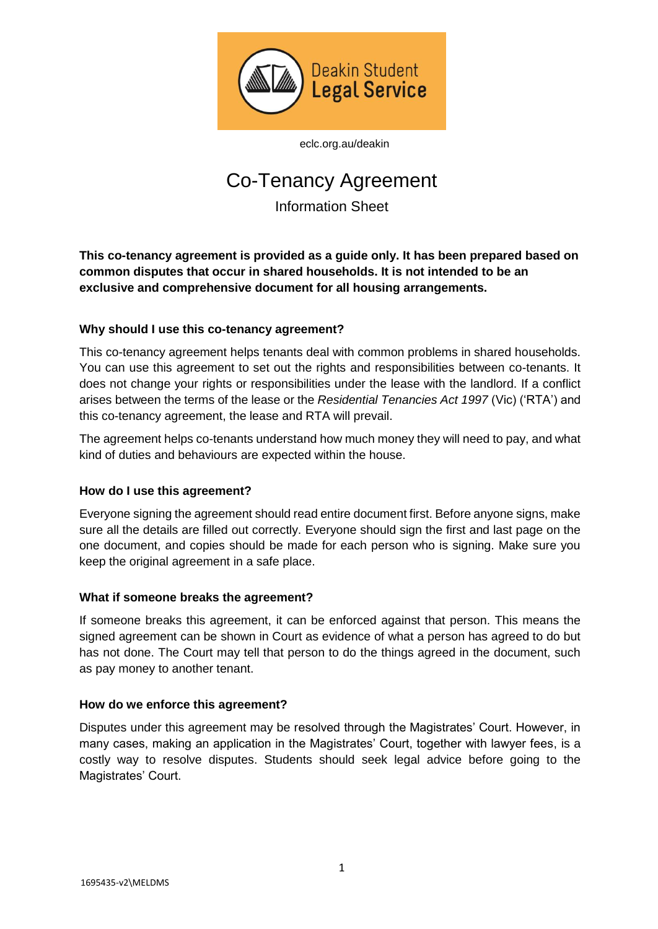

[eclc.org.au/deakin](http://www.eclc.org.au/can-eclc-assist-you/legal-programs/sort-it-deakin-legal-service-for-students/)

# Co-Tenancy Agreement

Information Sheet

**This co-tenancy agreement is provided as a guide only. It has been prepared based on common disputes that occur in shared households. It is not intended to be an exclusive and comprehensive document for all housing arrangements.** 

# **Why should I use this co-tenancy agreement?**

This co-tenancy agreement helps tenants deal with common problems in shared households. You can use this agreement to set out the rights and responsibilities between co-tenants. It does not change your rights or responsibilities under the lease with the landlord. If a conflict arises between the terms of the lease or the *Residential Tenancies Act 1997* (Vic) ('RTA') and this co-tenancy agreement, the lease and RTA will prevail.

The agreement helps co-tenants understand how much money they will need to pay, and what kind of duties and behaviours are expected within the house.

## **How do I use this agreement?**

Everyone signing the agreement should read entire document first. Before anyone signs, make sure all the details are filled out correctly. Everyone should sign the first and last page on the one document, and copies should be made for each person who is signing. Make sure you keep the original agreement in a safe place.

## **What if someone breaks the agreement?**

If someone breaks this agreement, it can be enforced against that person. This means the signed agreement can be shown in Court as evidence of what a person has agreed to do but has not done. The Court may tell that person to do the things agreed in the document, such as pay money to another tenant.

## **How do we enforce this agreement?**

Disputes under this agreement may be resolved through the Magistrates' Court. However, in many cases, making an application in the Magistrates' Court, together with lawyer fees, is a costly way to resolve disputes. Students should seek legal advice before going to the Magistrates' Court.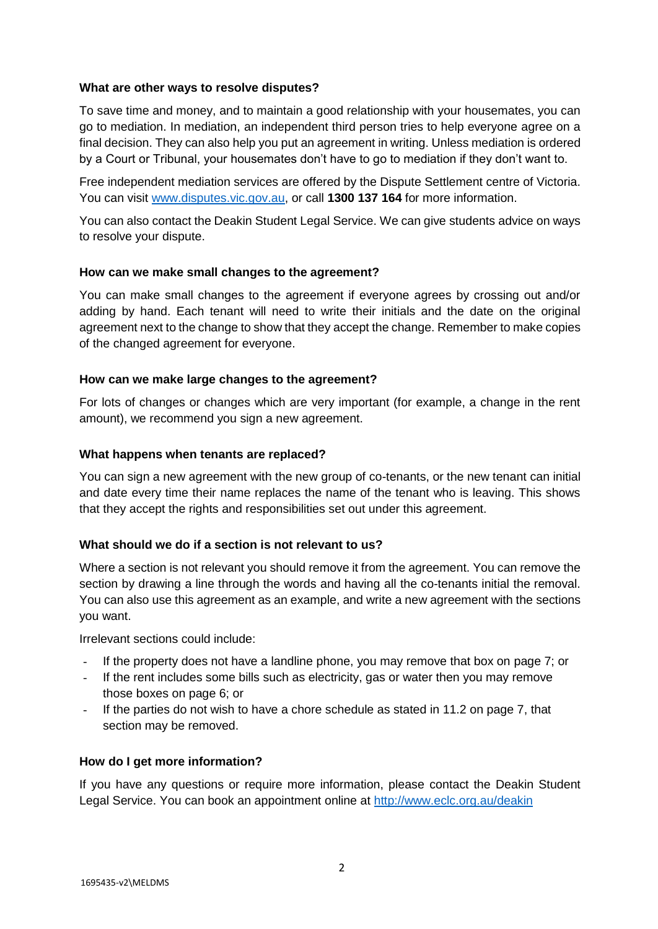## **What are other ways to resolve disputes?**

To save time and money, and to maintain a good relationship with your housemates, you can go to mediation. In mediation, an independent third person tries to help everyone agree on a final decision. They can also help you put an agreement in writing. Unless mediation is ordered by a Court or Tribunal, your housemates don't have to go to mediation if they don't want to.

Free independent mediation services are offered by the Dispute Settlement centre of Victoria. You can visit [www.disputes.vic.gov.au,](http://www.disputes.vic.gov.au/) or call **1300 137 164** for more information.

You can also contact the Deakin Student Legal Service. We can give students advice on ways to resolve your dispute.

#### **How can we make small changes to the agreement?**

You can make small changes to the agreement if everyone agrees by crossing out and/or adding by hand. Each tenant will need to write their initials and the date on the original agreement next to the change to show that they accept the change. Remember to make copies of the changed agreement for everyone.

#### **How can we make large changes to the agreement?**

For lots of changes or changes which are very important (for example, a change in the rent amount), we recommend you sign a new agreement.

#### **What happens when tenants are replaced?**

You can sign a new agreement with the new group of co-tenants, or the new tenant can initial and date every time their name replaces the name of the tenant who is leaving. This shows that they accept the rights and responsibilities set out under this agreement.

## **What should we do if a section is not relevant to us?**

Where a section is not relevant you should remove it from the agreement. You can remove the section by drawing a line through the words and having all the co-tenants initial the removal. You can also use this agreement as an example, and write a new agreement with the sections you want.

Irrelevant sections could include:

- If the property does not have a landline phone, you may remove that box on page 7; or
- If the rent includes some bills such as electricity, gas or water then you may remove those boxes on page 6; or
- If the parties do not wish to have a chore schedule as stated in 11.2 on page 7, that section may be removed.

## **How do I get more information?**

If you have any questions or require more information, please contact the Deakin Student Legal Service. You can book an appointment online at<http://www.eclc.org.au/deakin>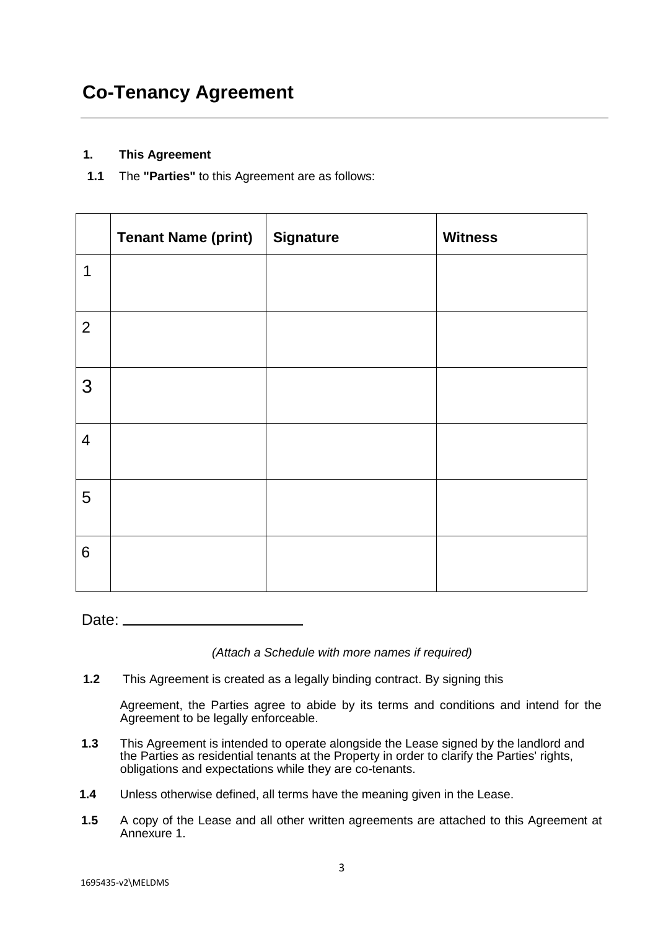# **1. This Agreement**

**1.1** The **"Parties"** to this Agreement are as follows:

|                | <b>Tenant Name (print)</b> | <b>Signature</b> | <b>Witness</b> |
|----------------|----------------------------|------------------|----------------|
| 1              |                            |                  |                |
| $\overline{2}$ |                            |                  |                |
| 3              |                            |                  |                |
| $\overline{4}$ |                            |                  |                |
| 5              |                            |                  |                |
| $6\phantom{1}$ |                            |                  |                |

Date: \_\_

*(Attach a Schedule with more names if required)*

**1.2** This Agreement is created as a legally binding contract. By signing this

Agreement, the Parties agree to abide by its terms and conditions and intend for the Agreement to be legally enforceable.

- **1.3** This Agreement is intended to operate alongside the Lease signed by the landlord and the Parties as residential tenants at the Property in order to clarify the Parties' rights, obligations and expectations while they are co-tenants.
- **1.4** Unless otherwise defined, all terms have the meaning given in the Lease.
- **1.5** A copy of the Lease and all other written agreements are attached to this Agreement at Annexure 1.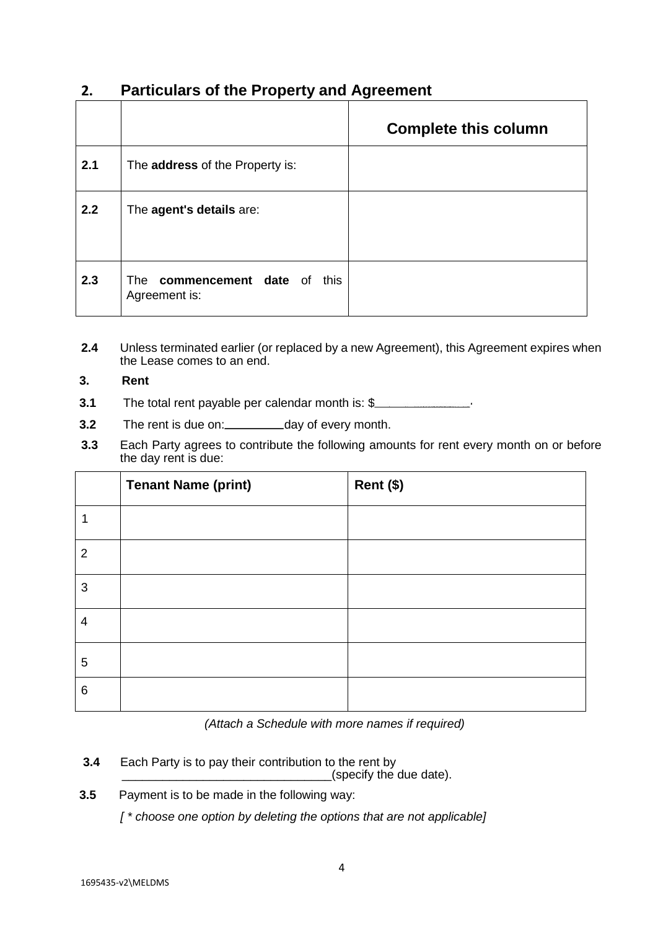# **2. Particulars of the Property and Agreement**

|     |                                                             | <b>Complete this column</b> |
|-----|-------------------------------------------------------------|-----------------------------|
| 2.1 | The address of the Property is:                             |                             |
| 2.2 | The agent's details are:                                    |                             |
| 2.3 | <b>commencement</b> date of<br>this<br>The<br>Agreement is: |                             |

**2.4** Unless terminated earlier (or replaced by a new Agreement), this Agreement expires when the Lease comes to an end.

# **3. Rent**

- **3.1** The total rent payable per calendar month is: \$
- **3.2** The rent is due on: day of every month.
- **3.3** Each Party agrees to contribute the following amounts for rent every month on or before the day rent is due:

|                | <b>Tenant Name (print)</b> | Rent (\$) |
|----------------|----------------------------|-----------|
| ٩              |                            |           |
| $\overline{2}$ |                            |           |
| 3              |                            |           |
| 4              |                            |           |
| 5              |                            |           |
| $\,6$          |                            |           |

*(Attach a Schedule with more names if required)*

**3.4** Each Party is to pay their contribution to the rent by

\_\_\_\_\_\_\_\_\_\_\_\_\_\_\_\_\_\_\_\_\_\_\_\_\_\_\_\_\_\_\_(specify the due date).

**3.5** Payment is to be made in the following way:

*[ \* choose one option by deleting the options that are not applicable]*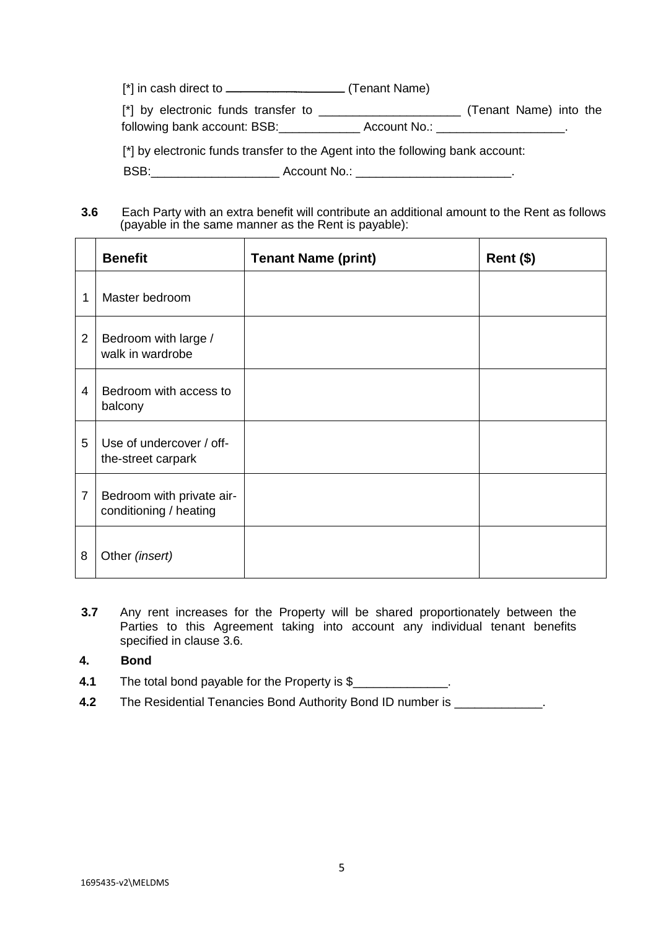$[$ <sup>\*</sup>] in cash direct to  $\frac{1}{\sqrt{1-\frac{1}{\sqrt{1-\frac{1}{\sqrt{1-\frac{1}{\sqrt{1-\frac{1}{\sqrt{1-\frac{1}{\sqrt{1-\frac{1}{\sqrt{1-\frac{1}{\sqrt{1-\frac{1}{\sqrt{1-\frac{1}{\sqrt{1-\frac{1}{\sqrt{1-\frac{1}{\sqrt{1-\frac{1}{\sqrt{1-\frac{1}{\sqrt{1-\frac{1}{\sqrt{1-\frac{1}{\sqrt{1-\frac{1}{\sqrt{1-\frac{1}{\sqrt{1-\frac{1}{\sqrt{1-\frac{1}{\sqrt{1-\frac{1}{\sqrt{1-\frac{1}{$ 

[\*] by electronic funds transfer to \_\_\_\_\_\_\_\_\_\_\_\_\_\_\_\_\_\_\_\_\_ (Tenant Name) into the following bank account: BSB:\_\_\_\_\_\_\_\_\_\_\_\_\_\_\_ Account No.: \_\_\_\_\_\_\_\_\_\_\_\_\_\_\_\_\_\_\_\_\_\_.

[\*] by electronic funds transfer to the Agent into the following bank account:

BSB:\_\_\_\_\_\_\_\_\_\_\_\_\_\_\_\_\_\_\_ Account No.: \_\_\_\_\_\_\_\_\_\_\_\_\_\_\_\_\_\_\_\_\_\_\_.

**3.6** Each Party with an extra benefit will contribute an additional amount to the Rent as follows (payable in the same manner as the Rent is payable):

|                | <b>Benefit</b>                                      | <b>Tenant Name (print)</b> | $Rent$ (\$) |
|----------------|-----------------------------------------------------|----------------------------|-------------|
| 1              | Master bedroom                                      |                            |             |
| $\overline{2}$ | Bedroom with large /<br>walk in wardrobe            |                            |             |
| 4              | Bedroom with access to<br>balcony                   |                            |             |
| 5              | Use of undercover / off-<br>the-street carpark      |                            |             |
| 7              | Bedroom with private air-<br>conditioning / heating |                            |             |
| 8              | Other (insert)                                      |                            |             |

**3.7** Any rent increases for the Property will be shared proportionately between the Parties to this Agreement taking into account any individual tenant benefits specified in clause 3.6.

# **4. Bond**

- **4.1** The total bond payable for the Property is \$
- **4.2** The Residential Tenancies Bond Authority Bond ID number is \_\_\_\_\_\_\_\_\_\_\_\_\_\_\_.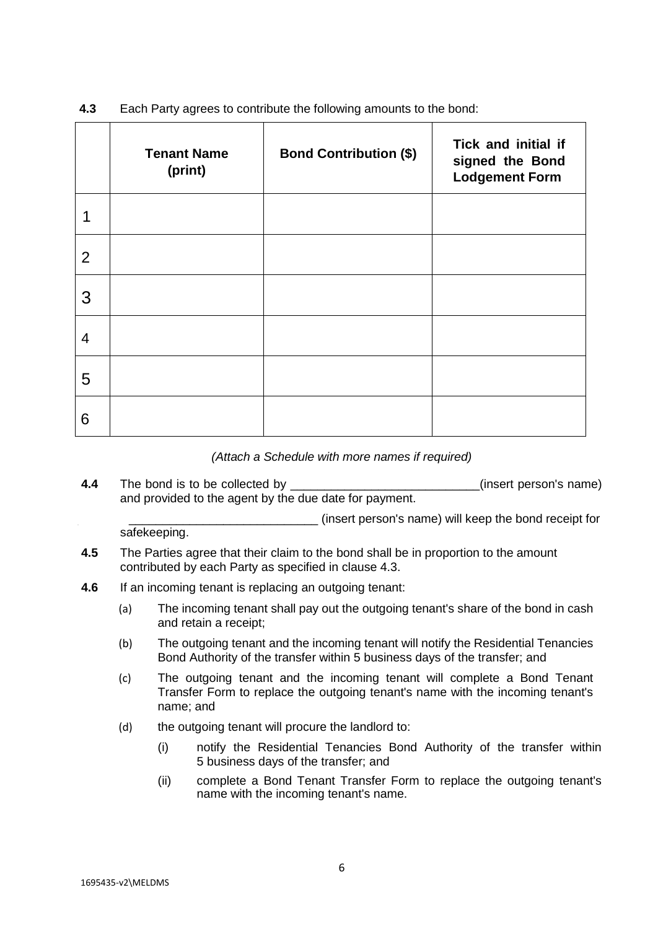|                | <b>Tenant Name</b><br>(print) | <b>Bond Contribution (\$)</b> | Tick and initial if<br>signed the Bond<br><b>Lodgement Form</b> |
|----------------|-------------------------------|-------------------------------|-----------------------------------------------------------------|
|                |                               |                               |                                                                 |
| $\overline{2}$ |                               |                               |                                                                 |
| 3              |                               |                               |                                                                 |
| $\overline{4}$ |                               |                               |                                                                 |
| 5              |                               |                               |                                                                 |
| 6              |                               |                               |                                                                 |

**4.3** Each Party agrees to contribute the following amounts to the bond:

*(Attach a Schedule with more names if required)*

**4.4** The bond is to be collected by **EXECUTE:** (insert person's name) and provided to the agent by the due date for payment.

 \_\_\_\_\_\_\_\_\_\_\_\_\_\_\_\_\_\_\_\_\_\_\_\_\_\_\_\_ (insert person's name) will keep the bond receipt for safekeeping.

- **4.5** The Parties agree that their claim to the bond shall be in proportion to the amount contributed by each Party as specified in clause 4.3.
- **4.6** If an incoming tenant is replacing an outgoing tenant:
	- (a) The incoming tenant shall pay out the outgoing tenant's share of the bond in cash and retain a receipt;
	- (b) The outgoing tenant and the incoming tenant will notify the Residential Tenancies Bond Authority of the transfer within 5 business days of the transfer; and
	- (c) The outgoing tenant and the incoming tenant will complete a Bond Tenant Transfer Form to replace the outgoing tenant's name with the incoming tenant's name; and
	- (d) the outgoing tenant will procure the landlord to:
		- (i) notify the Residential Tenancies Bond Authority of the transfer within 5 business days of the transfer; and
		- (ii) complete a Bond Tenant Transfer Form to replace the outgoing tenant's name with the incoming tenant's name.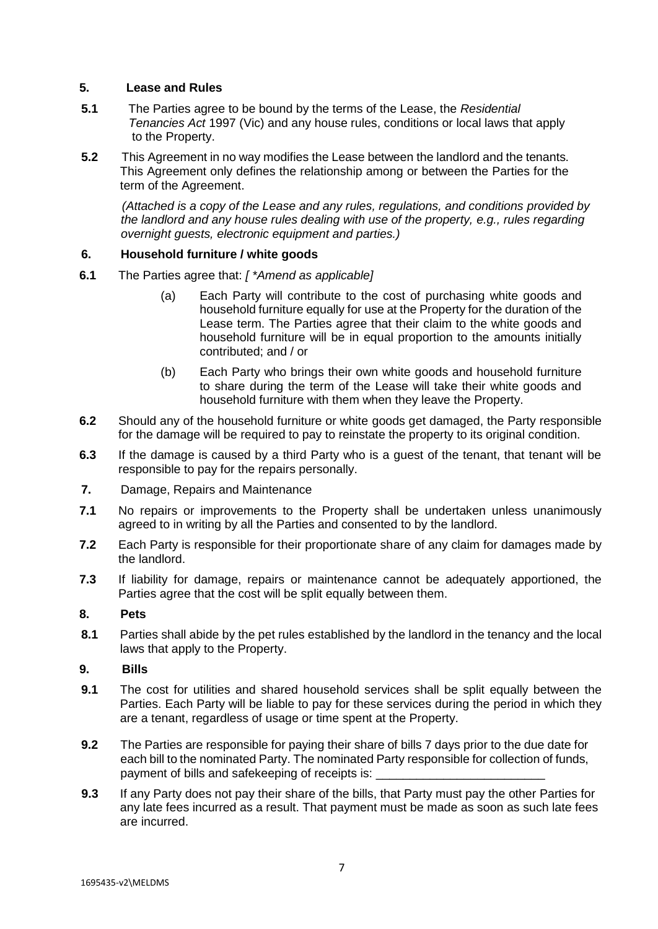## **5. Lease and Rules**

- **5.1** The Parties agree to be bound by the terms of the Lease, the *Residential Tenancies Act* 1997 (Vic) and any house rules, conditions or local laws that apply to the Property.
- **5.2** This Agreement in no way modifies the Lease between the landlord and the tenants. This Agreement only defines the relationship among or between the Parties for the term of the Agreement.

*(Attached is a copy of the Lease and any rules, regulations, and conditions provided by the landlord and any house rules dealing with use of the property, e.g., rules regarding overnight guests, electronic equipment and parties.)*

# **6. Household furniture / white goods**

- **6.1** The Parties agree that: *[ \*Amend as applicable]*
	- (a) Each Party will contribute to the cost of purchasing white goods and household furniture equally for use at the Property for the duration of the Lease term. The Parties agree that their claim to the white goods and household furniture will be in equal proportion to the amounts initially contributed; and / or
	- (b) Each Party who brings their own white goods and household furniture to share during the term of the Lease will take their white goods and household furniture with them when they leave the Property.
- **6.2** Should any of the household furniture or white goods get damaged, the Party responsible for the damage will be required to pay to reinstate the property to its original condition.
- **6.3** If the damage is caused by a third Party who is a guest of the tenant, that tenant will be responsible to pay for the repairs personally.
- **7.** Damage, Repairs and Maintenance
- **7.1** No repairs or improvements to the Property shall be undertaken unless unanimously agreed to in writing by all the Parties and consented to by the landlord.
- **7.2** Each Party is responsible for their proportionate share of any claim for damages made by the landlord.
- **7.3** If liability for damage, repairs or maintenance cannot be adequately apportioned, the Parties agree that the cost will be split equally between them.

## **8. Pets**

**8.1** Parties shall abide by the pet rules established by the landlord in the tenancy and the local laws that apply to the Property.

## **9. Bills**

- **9.1** The cost for utilities and shared household services shall be split equally between the Parties. Each Party will be liable to pay for these services during the period in which they are a tenant, regardless of usage or time spent at the Property.
- **9.2** The Parties are responsible for paying their share of bills 7 days prior to the due date for each bill to the nominated Party. The nominated Party responsible for collection of funds, payment of bills and safekeeping of receipts is:
- **9.3** If any Party does not pay their share of the bills, that Party must pay the other Parties for any late fees incurred as a result. That payment must be made as soon as such late fees are incurred.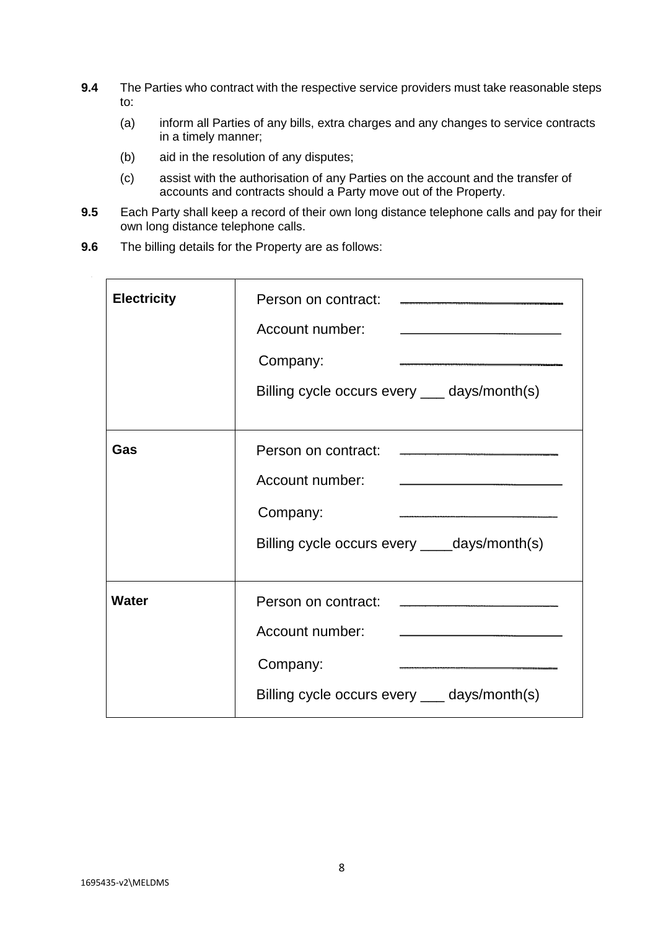- **9.4** The Parties who contract with the respective service providers must take reasonable steps to:
	- (a) inform all Parties of any bills, extra charges and any changes to service contracts in a timely manner;
	- (b) aid in the resolution of any disputes;
	- (c) assist with the authorisation of any Parties on the account and the transfer of accounts and contracts should a Party move out of the Property.
- **9.5** Each Party shall keep a record of their own long distance telephone calls and pay for their own long distance telephone calls.
- **9.6** The billing details for the Property are as follows:

 $\bar{z}$ 

| <b>Electricity</b> | Account number:<br>Company:<br>Billing cycle occurs every ____ days/month(s)                                                                                                                         |
|--------------------|------------------------------------------------------------------------------------------------------------------------------------------------------------------------------------------------------|
| Gas                | Account number:<br><u> La Carlo de la Carlo de la Carlo de la Carlo de la Carlo de la Carlo de la Carlo de la Carlo de la Carlo de l</u><br>Company:<br>Billing cycle occurs every ____days/month(s) |
| <b>Water</b>       | Account number:<br>Company:<br>Billing cycle occurs every ____ days/month(s)                                                                                                                         |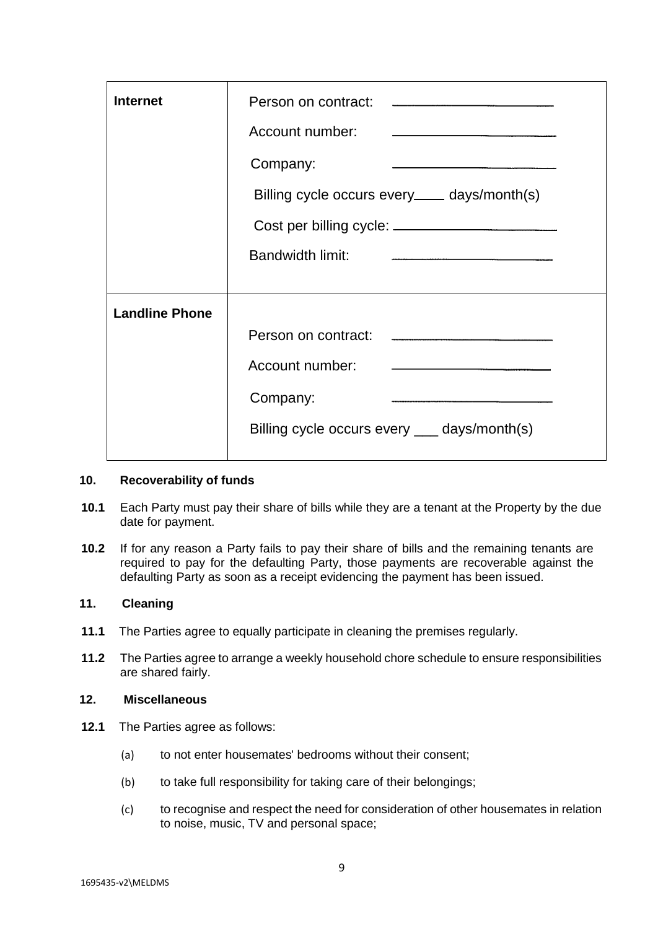| <b>Internet</b>       | Account number:<br>Company:<br><u>and the contract of the contract of the contract of the contract of the contract of the contract of the contract of the contract of the contract of the contract of the contract of the contract of the contract of the contr</u><br>Billing cycle occurs every_____ days/month(s)<br><b>Bandwidth limit:</b><br>$\label{eq:3.1} \frac{1}{2} \left( \frac{1}{2} \left( \frac{1}{2} \right) \left( \frac{1}{2} \right) \left( \frac{1}{2} \right) \left( \frac{1}{2} \right) \left( \frac{1}{2} \right) \left( \frac{1}{2} \right) \left( \frac{1}{2} \right) \left( \frac{1}{2} \right) \left( \frac{1}{2} \right) \left( \frac{1}{2} \right) \left( \frac{1}{2} \right) \left( \frac{1}{2} \right) \left( \frac{1}{2} \right) \left( \frac{1}{2} \right) \left( \frac{1}{2} \right$ |
|-----------------------|------------------------------------------------------------------------------------------------------------------------------------------------------------------------------------------------------------------------------------------------------------------------------------------------------------------------------------------------------------------------------------------------------------------------------------------------------------------------------------------------------------------------------------------------------------------------------------------------------------------------------------------------------------------------------------------------------------------------------------------------------------------------------------------------------------------------|
| <b>Landline Phone</b> | Person on contract:<br>Account number:<br>Company:<br>Billing cycle occurs every ____ days/month(s)                                                                                                                                                                                                                                                                                                                                                                                                                                                                                                                                                                                                                                                                                                                    |

#### **10. Recoverability of funds**

- **10.1** Each Party must pay their share of bills while they are a tenant at the Property by the due date for payment.
- **10.2** If for any reason a Party fails to pay their share of bills and the remaining tenants are required to pay for the defaulting Party, those payments are recoverable against the defaulting Party as soon as a receipt evidencing the payment has been issued.

# **11. Cleaning**

- **11.1** The Parties agree to equally participate in cleaning the premises regularly.
- **11.2** The Parties agree to arrange a weekly household chore schedule to ensure responsibilities are shared fairly.

# **12. Miscellaneous**

- **12.1** The Parties agree as follows:
	- (a) to not enter housemates' bedrooms without their consent;
	- (b) to take full responsibility for taking care of their belongings;
	- (c) to recognise and respect the need for consideration of other housemates in relation to noise, music, TV and personal space;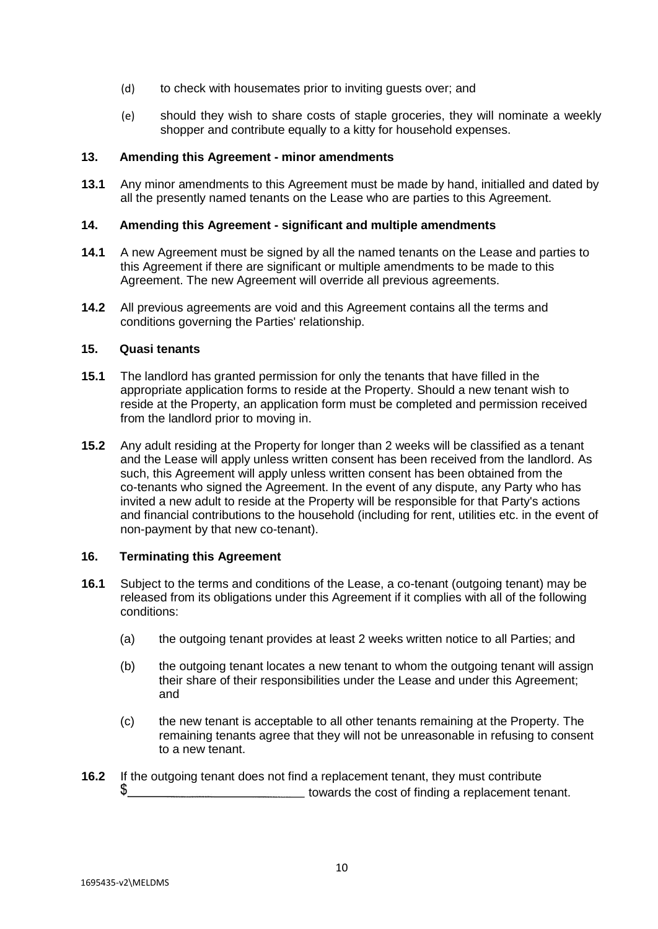- (d) to check with housemates prior to inviting guests over; and
- (e) should they wish to share costs of staple groceries, they will nominate a weekly shopper and contribute equally to a kitty for household expenses.

#### **13. Amending this Agreement - minor amendments**

**13.1** Any minor amendments to this Agreement must be made by hand, initialled and dated by all the presently named tenants on the Lease who are parties to this Agreement.

#### **14. Amending this Agreement - significant and multiple amendments**

- **14.1** A new Agreement must be signed by all the named tenants on the Lease and parties to this Agreement if there are significant or multiple amendments to be made to this Agreement. The new Agreement will override all previous agreements.
- **14.2** All previous agreements are void and this Agreement contains all the terms and conditions governing the Parties' relationship.

#### **15. Quasi tenants**

- **15.1** The landlord has granted permission for only the tenants that have filled in the appropriate application forms to reside at the Property. Should a new tenant wish to reside at the Property, an application form must be completed and permission received from the landlord prior to moving in.
- **15.2** Any adult residing at the Property for longer than 2 weeks will be classified as a tenant and the Lease will apply unless written consent has been received from the landlord. As such, this Agreement will apply unless written consent has been obtained from the co-tenants who signed the Agreement. In the event of any dispute, any Party who has invited a new adult to reside at the Property will be responsible for that Party's actions and financial contributions to the household (including for rent, utilities etc. in the event of non-payment by that new co-tenant).

#### **16. Terminating this Agreement**

- **16.1** Subject to the terms and conditions of the Lease, a co-tenant (outgoing tenant) may be released from its obligations under this Agreement if it complies with all of the following conditions:
	- (a) the outgoing tenant provides at least 2 weeks written notice to all Parties; and
	- (b) the outgoing tenant locates a new tenant to whom the outgoing tenant will assign their share of their responsibilities under the Lease and under this Agreement; and
	- (c) the new tenant is acceptable to all other tenants remaining at the Property. The remaining tenants agree that they will not be unreasonable in refusing to consent to a new tenant.
- **16.2** If the outgoing tenant does not find a replacement tenant, they must contribute towards the cost of finding a replacement tenant.